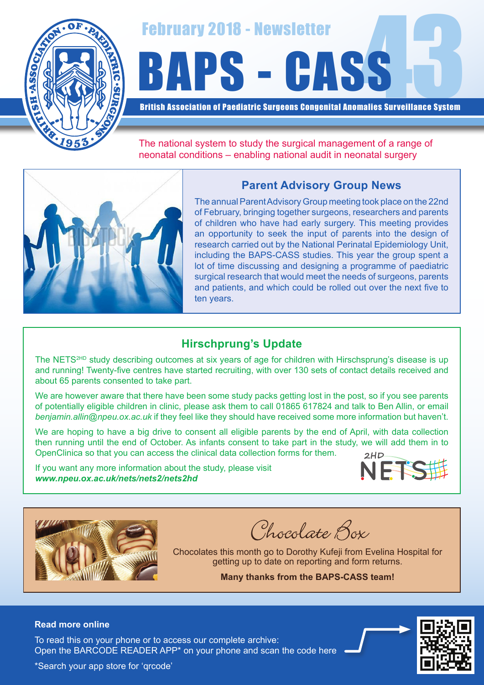

# February 2018 - Newsletter<br>BAPS - CASS

British Association of Paediatric Surgeons Congenital Anomalies Surveillance System

The national system to study the surgical management of a range of neonatal conditions – enabling national audit in neonatal surgery

## **Parent Advisory Group News**



The annual Parent Advisory Group meeting took place on the 22nd of February, bringing together surgeons, researchers and parents of children who have had early surgery. This meeting provides an opportunity to seek the input of parents into the design of research carried out by the National Perinatal Epidemiology Unit, including the BAPS-CASS studies. This year the group spent a lot of time discussing and designing a programme of paediatric surgical research that would meet the needs of surgeons, parents and patients, and which could be rolled out over the next five to ten years.

# **Hirschprung's Update**

The NETS<sup>2HD</sup> study describing outcomes at six years of age for children with Hirschsprung's disease is up and running! Twenty-five centres have started recruiting, with over 130 sets of contact details received and about 65 parents consented to take part.

We are however aware that there have been some study packs getting lost in the post, so if you see parents of potentially eligible children in clinic, please ask them to call 01865 617824 and talk to Ben Allin, or email *benjamin.allin@npeu.ox.ac.uk* if they feel like they should have received some more information but haven't.

We are hoping to have a big drive to consent all eligible parents by the end of April, with data collection then running until the end of October. As infants consent to take part in the study, we will add them in to OpenClinica so that you can access the clinical data collection forms for them.

If you want any more information about the study, please visit *www.npeu.ox.ac.uk/nets/nets2/nets2hd*





Chocolate Box

Chocolates this month go to Dorothy Kufeji from Evelina Hospital for getting up to date on reporting and form returns.

**Many thanks from the BAPS-CASS team!**

### **Read more online**

Open the BARCODE READER APP\* on your phone and scan the code here To read this on your phone or to access our complete archive: